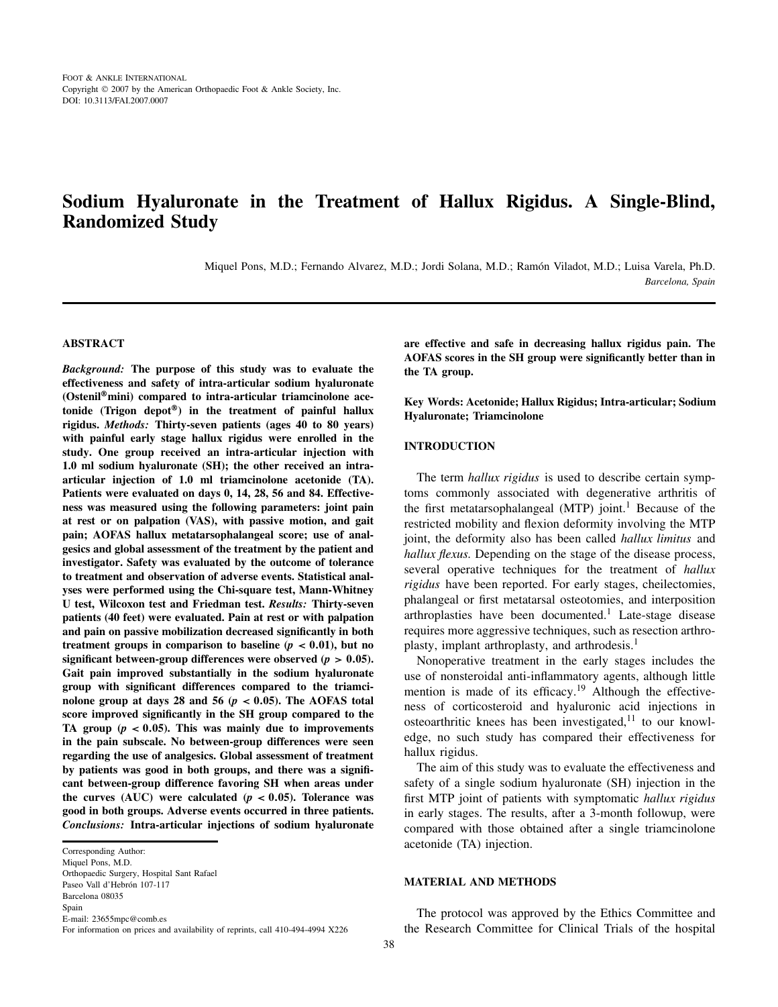# **Sodium Hyaluronate in the Treatment of Hallux Rigidus. A Single-Blind, Randomized Study**

Miquel Pons, M.D.; Fernando Alvarez, M.D.; Jordi Solana, M.D.; Ramón Viladot, M.D.; Luisa Varela, Ph.D. *Barcelona, Spain*

#### **ABSTRACT**

*Background:* **The purpose of this study was to evaluate the effectiveness and safety of intra-articular sodium hyaluronate (Ostenil**®**mini) compared to intra-articular triamcinolone acetonide (Trigon depot**®**) in the treatment of painful hallux rigidus.** *Methods:* **Thirty-seven patients (ages 40 to 80 years) with painful early stage hallux rigidus were enrolled in the study. One group received an intra-articular injection with 1.0 ml sodium hyaluronate (SH); the other received an intraarticular injection of 1.0 ml triamcinolone acetonide (TA). Patients were evaluated on days 0, 14, 28, 56 and 84. Effectiveness was measured using the following parameters: joint pain at rest or on palpation (VAS), with passive motion, and gait pain; AOFAS hallux metatarsophalangeal score; use of analgesics and global assessment of the treatment by the patient and investigator. Safety was evaluated by the outcome of tolerance to treatment and observation of adverse events. Statistical analyses were performed using the Chi-square test, Mann-Whitney U test, Wilcoxon test and Friedman test.** *Results:* **Thirty-seven patients (40 feet) were evaluated. Pain at rest or with palpation and pain on passive mobilization decreased significantly in both** treatment groups in comparison to baseline  $(p < 0.01)$ , but no **significant between-group differences were observed (** $p > 0.05$ **). Gait pain improved substantially in the sodium hyaluronate group with significant differences compared to the triamci**nolone group at days 28 and 56 ( $p < 0.05$ ). The AOFAS total **score improved significantly in the SH group compared to the** TA group  $(p < 0.05)$ . This was mainly due to improvements **in the pain subscale. No between-group differences were seen regarding the use of analgesics. Global assessment of treatment by patients was good in both groups, and there was a significant between-group difference favoring SH when areas under** the curves (AUC) were calculated  $(p < 0.05)$ . Tolerance was **good in both groups. Adverse events occurred in three patients.** *Conclusions:* **Intra-articular injections of sodium hyaluronate** **are effective and safe in decreasing hallux rigidus pain. The AOFAS scores in the SH group were significantly better than in the TA group.**

**Key Words: Acetonide; Hallux Rigidus; Intra-articular; Sodium Hyaluronate; Triamcinolone**

### **INTRODUCTION**

The term *hallux rigidus* is used to describe certain symptoms commonly associated with degenerative arthritis of the first metatarsophalangeal  $(MTP)$  joint.<sup>1</sup> Because of the restricted mobility and flexion deformity involving the MTP joint, the deformity also has been called *hallux limitus* and *hallux flexus.* Depending on the stage of the disease process, several operative techniques for the treatment of *hallux rigidus* have been reported. For early stages, cheilectomies, phalangeal or first metatarsal osteotomies, and interposition arthroplasties have been documented.<sup>1</sup> Late-stage disease requires more aggressive techniques, such as resection arthroplasty, implant arthroplasty, and arthrodesis.<sup>1</sup>

Nonoperative treatment in the early stages includes the use of nonsteroidal anti-inflammatory agents, although little mention is made of its efficacy.<sup>19</sup> Although the effectiveness of corticosteroid and hyaluronic acid injections in osteoarthritic knees has been investigated, $11$  to our knowledge, no such study has compared their effectiveness for hallux rigidus.

The aim of this study was to evaluate the effectiveness and safety of a single sodium hyaluronate (SH) injection in the first MTP joint of patients with symptomatic *hallux rigidus* in early stages. The results, after a 3-month followup, were compared with those obtained after a single triamcinolone acetonide (TA) injection.

#### **MATERIAL AND METHODS**

The protocol was approved by the Ethics Committee and the Research Committee for Clinical Trials of the hospital

Corresponding Author:

Miquel Pons, M.D. Orthopaedic Surgery, Hospital Sant Rafael Paseo Vall d'Hebrón 107-117 Barcelona 08035 Spain E-mail: 23655mpc@comb.es

For information on prices and availability of reprints, call 410-494-4994 X226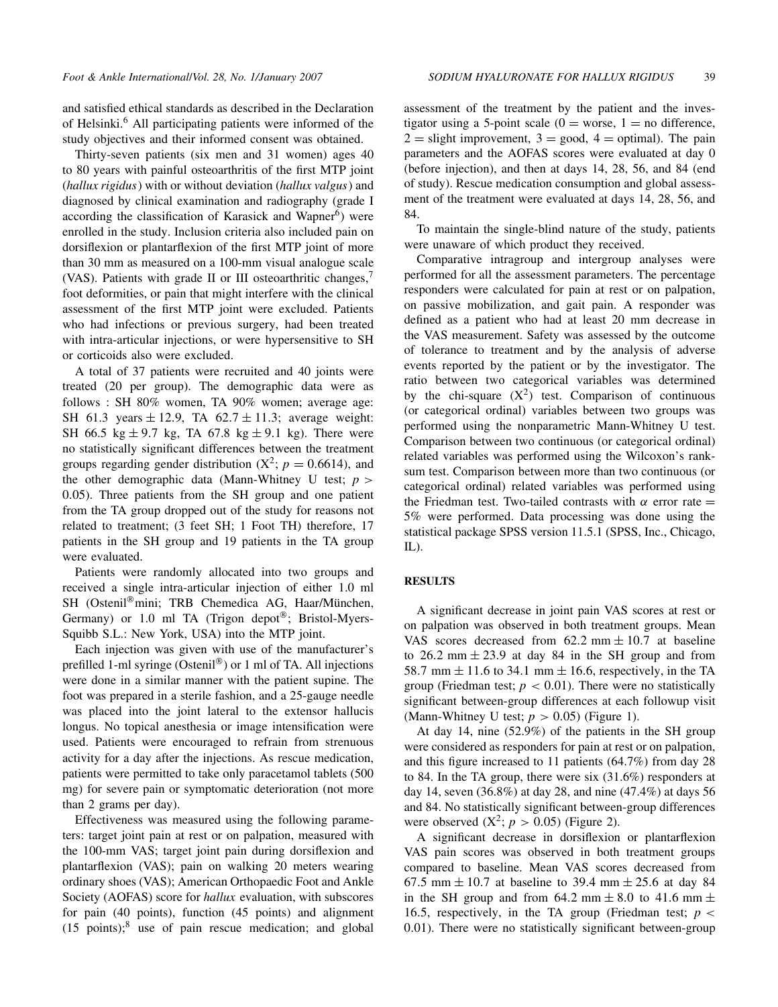and satisfied ethical standards as described in the Declaration of Helsinki.<sup>6</sup> All participating patients were informed of the study objectives and their informed consent was obtained.

Thirty-seven patients (six men and 31 women) ages 40 to 80 years with painful osteoarthritis of the first MTP joint (*hallux rigidus*) with or without deviation (*hallux valgus*) and diagnosed by clinical examination and radiography (grade I according the classification of Karasick and Wapner<sup>6</sup>) were enrolled in the study. Inclusion criteria also included pain on dorsiflexion or plantarflexion of the first MTP joint of more than 30 mm as measured on a 100-mm visual analogue scale (VAS). Patients with grade II or III osteoarthritic changes, $<sup>7</sup>$ </sup> foot deformities, or pain that might interfere with the clinical assessment of the first MTP joint were excluded. Patients who had infections or previous surgery, had been treated with intra-articular injections, or were hypersensitive to SH or corticoids also were excluded.

A total of 37 patients were recruited and 40 joints were treated (20 per group). The demographic data were as follows : SH 80% women, TA 90% women; average age: SH 61.3 years  $\pm$  12.9, TA 62.7  $\pm$  11.3; average weight: SH 66.5 kg  $\pm$  9.7 kg, TA 67.8 kg  $\pm$  9.1 kg). There were no statistically significant differences between the treatment groups regarding gender distribution  $(X^2; p = 0.6614)$ , and the other demographic data (Mann-Whitney U test;  $p >$ 0.05). Three patients from the SH group and one patient from the TA group dropped out of the study for reasons not related to treatment; (3 feet SH; 1 Foot TH) therefore, 17 patients in the SH group and 19 patients in the TA group were evaluated.

Patients were randomly allocated into two groups and received a single intra-articular injection of either 1.0 ml SH (Ostenil<sup>®</sup>mini; TRB Chemedica AG, Haar/München, Germany) or 1.0 ml TA (Trigon depot®; Bristol-Myers-Squibb S.L.: New York, USA) into the MTP joint.

Each injection was given with use of the manufacturer's prefilled 1-ml syringe (Ostenil®) or 1 ml of TA. All injections were done in a similar manner with the patient supine. The foot was prepared in a sterile fashion, and a 25-gauge needle was placed into the joint lateral to the extensor hallucis longus. No topical anesthesia or image intensification were used. Patients were encouraged to refrain from strenuous activity for a day after the injections. As rescue medication, patients were permitted to take only paracetamol tablets (500 mg) for severe pain or symptomatic deterioration (not more than 2 grams per day).

Effectiveness was measured using the following parameters: target joint pain at rest or on palpation, measured with the 100-mm VAS; target joint pain during dorsiflexion and plantarflexion (VAS); pain on walking 20 meters wearing ordinary shoes (VAS); American Orthopaedic Foot and Ankle Society (AOFAS) score for *hallux* evaluation, with subscores for pain (40 points), function (45 points) and alignment  $(15 \text{ points})$ ;<sup>8</sup> use of pain rescue medication; and global

assessment of the treatment by the patient and the investigator using a 5-point scale  $(0 = \text{worse}, 1 = \text{no difference},$  $2 =$  slight improvement,  $3 =$  good,  $4 =$  optimal). The pain parameters and the AOFAS scores were evaluated at day 0 (before injection), and then at days 14, 28, 56, and 84 (end of study). Rescue medication consumption and global assessment of the treatment were evaluated at days 14, 28, 56, and 84.

To maintain the single-blind nature of the study, patients were unaware of which product they received.

Comparative intragroup and intergroup analyses were performed for all the assessment parameters. The percentage responders were calculated for pain at rest or on palpation, on passive mobilization, and gait pain. A responder was defined as a patient who had at least 20 mm decrease in the VAS measurement. Safety was assessed by the outcome of tolerance to treatment and by the analysis of adverse events reported by the patient or by the investigator. The ratio between two categorical variables was determined by the chi-square  $(X^2)$  test. Comparison of continuous (or categorical ordinal) variables between two groups was performed using the nonparametric Mann-Whitney U test. Comparison between two continuous (or categorical ordinal) related variables was performed using the Wilcoxon's ranksum test. Comparison between more than two continuous (or categorical ordinal) related variables was performed using the Friedman test. Two-tailed contrasts with  $\alpha$  error rate = 5% were performed. Data processing was done using the statistical package SPSS version 11.5.1 (SPSS, Inc., Chicago, IL).

# **RESULTS**

A significant decrease in joint pain VAS scores at rest or on palpation was observed in both treatment groups. Mean VAS scores decreased from  $62.2$  mm  $\pm 10.7$  at baseline to 26.2 mm  $\pm$  23.9 at day 84 in the SH group and from 58.7 mm  $\pm$  11.6 to 34.1 mm  $\pm$  16.6, respectively, in the TA group (Friedman test;  $p < 0.01$ ). There were no statistically significant between-group differences at each followup visit (Mann-Whitney U test;  $p > 0.05$ ) (Figure 1).

At day 14, nine (52.9%) of the patients in the SH group were considered as responders for pain at rest or on palpation, and this figure increased to 11 patients (64.7%) from day 28 to 84. In the TA group, there were six (31.6%) responders at day 14, seven (36.8%) at day 28, and nine (47.4%) at days 56 and 84. No statistically significant between-group differences were observed  $(X^2; p > 0.05)$  (Figure 2).

A significant decrease in dorsiflexion or plantarflexion VAS pain scores was observed in both treatment groups compared to baseline. Mean VAS scores decreased from 67.5 mm  $\pm$  10.7 at baseline to 39.4 mm  $\pm$  25.6 at day 84 in the SH group and from 64.2 mm  $\pm$  8.0 to 41.6 mm  $\pm$ 16.5, respectively, in the TA group (Friedman test;  $p <$ 0.01). There were no statistically significant between-group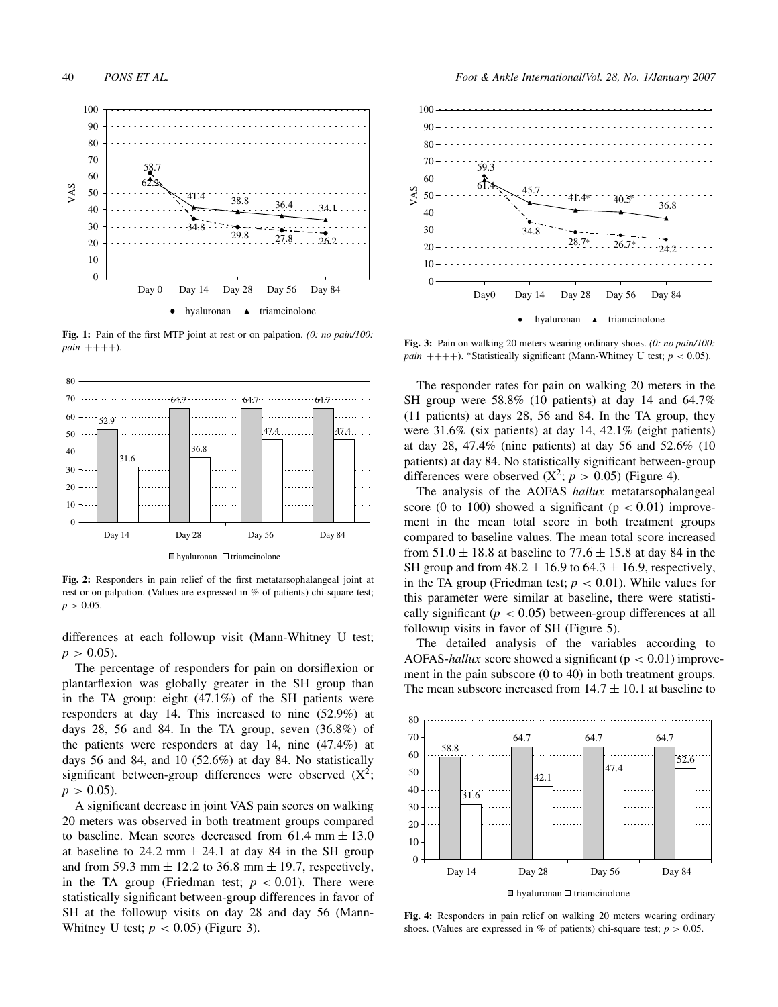

**Fig. 1:** Pain of the first MTP joint at rest or on palpation. *(0: no pain/100:*  $pain ++++)$ .



**Fig. 2:** Responders in pain relief of the first metatarsophalangeal joint at rest or on palpation. (Values are expressed in % of patients) chi-square test;  $p > 0.05$ .

differences at each followup visit (Mann-Whitney U test;  $p > 0.05$ ).

The percentage of responders for pain on dorsiflexion or plantarflexion was globally greater in the SH group than in the TA group: eight (47.1%) of the SH patients were responders at day 14. This increased to nine (52.9%) at days 28, 56 and 84. In the TA group, seven  $(36.8\%)$  of the patients were responders at day 14, nine (47.4%) at days 56 and 84, and 10 (52.6%) at day 84. No statistically significant between-group differences were observed  $(X^2)$ ;  $p > 0.05$ ).

A significant decrease in joint VAS pain scores on walking 20 meters was observed in both treatment groups compared to baseline. Mean scores decreased from  $61.4$  mm  $\pm 13.0$ at baseline to 24.2 mm  $\pm$  24.1 at day 84 in the SH group and from 59.3 mm  $\pm$  12.2 to 36.8 mm  $\pm$  19.7, respectively, in the TA group (Friedman test;  $p < 0.01$ ). There were statistically significant between-group differences in favor of SH at the followup visits on day 28 and day 56 (Mann-Whitney U test;  $p < 0.05$ ) (Figure 3).



**Fig. 3:** Pain on walking 20 meters wearing ordinary shoes. *(0: no pain/100: pain* ++++). \*Statistically significant (Mann-Whitney U test;  $p < 0.05$ ).

The responder rates for pain on walking 20 meters in the SH group were 58.8% (10 patients) at day 14 and 64.7% (11 patients) at days 28, 56 and 84. In the TA group, they were 31.6% (six patients) at day 14, 42.1% (eight patients) at day 28, 47.4% (nine patients) at day 56 and 52.6% (10 patients) at day 84. No statistically significant between-group differences were observed  $(X^2; p > 0.05)$  (Figure 4).

The analysis of the AOFAS *hallux* metatarsophalangeal score (0 to 100) showed a significant ( $p < 0.01$ ) improvement in the mean total score in both treatment groups compared to baseline values. The mean total score increased from  $51.0 \pm 18.8$  at baseline to  $77.6 \pm 15.8$  at day 84 in the SH group and from  $48.2 \pm 16.9$  to  $64.3 \pm 16.9$ , respectively, in the TA group (Friedman test;  $p < 0.01$ ). While values for this parameter were similar at baseline, there were statistically significant  $(p < 0.05)$  between-group differences at all followup visits in favor of SH (Figure 5).

The detailed analysis of the variables according to AOFAS-*hallux* score showed a significant ( $p < 0.01$ ) improvement in the pain subscore (0 to 40) in both treatment groups. The mean subscore increased from  $14.7 \pm 10.1$  at baseline to



**Fig. 4:** Responders in pain relief on walking 20 meters wearing ordinary shoes. (Values are expressed in % of patients) chi-square test;  $p > 0.05$ .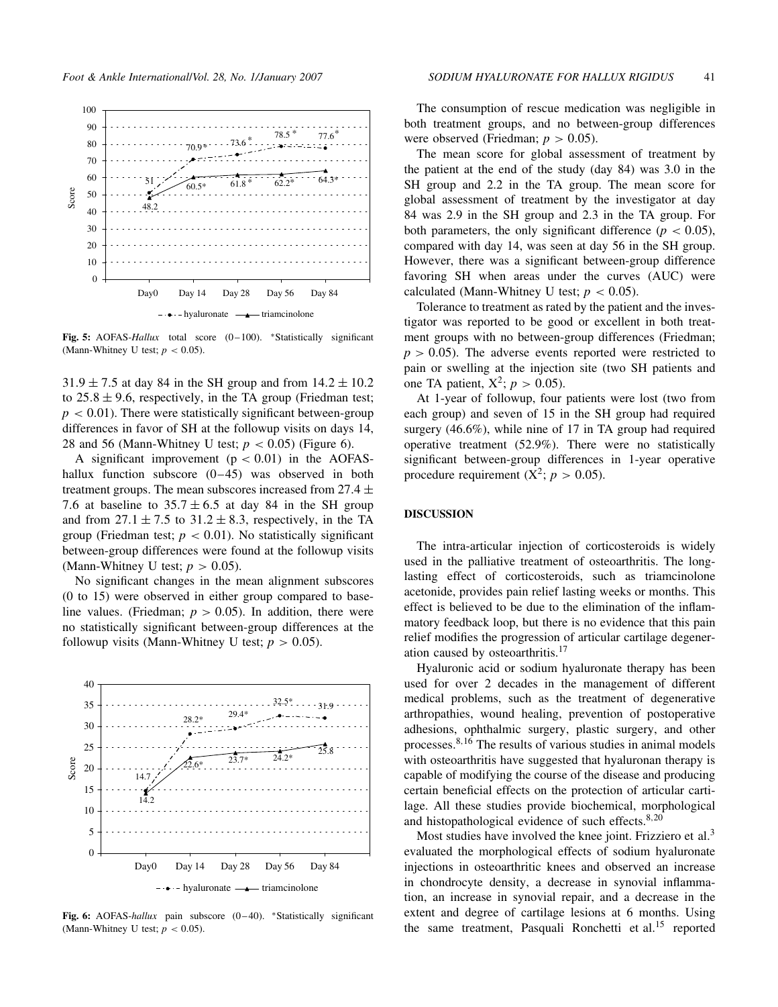

**Fig. 5:** AOFAS-*Hallux* total score (0 – 100). ∗Statistically significant (Mann-Whitney U test;  $p < 0.05$ ).

 $31.9 \pm 7.5$  at day 84 in the SH group and from  $14.2 \pm 10.2$ to  $25.8 \pm 9.6$ , respectively, in the TA group (Friedman test;  $p < 0.01$ ). There were statistically significant between-group differences in favor of SH at the followup visits on days 14, 28 and 56 (Mann-Whitney U test;  $p < 0.05$ ) (Figure 6).

A significant improvement  $(p < 0.01)$  in the AOFAShallux function subscore  $(0-45)$  was observed in both treatment groups. The mean subscores increased from  $27.4 \pm$ 7.6 at baseline to  $35.7 \pm 6.5$  at day 84 in the SH group and from  $27.1 \pm 7.5$  to  $31.2 \pm 8.3$ , respectively, in the TA group (Friedman test;  $p < 0.01$ ). No statistically significant between-group differences were found at the followup visits (Mann-Whitney U test;  $p > 0.05$ ).

No significant changes in the mean alignment subscores (0 to 15) were observed in either group compared to baseline values. (Friedman;  $p > 0.05$ ). In addition, there were no statistically significant between-group differences at the followup visits (Mann-Whitney U test;  $p > 0.05$ ).



**Fig. 6:** AOFAS-*hallux* pain subscore (0 – 40). ∗Statistically significant (Mann-Whitney U test;  $p < 0.05$ ).

The consumption of rescue medication was negligible in both treatment groups, and no between-group differences were observed (Friedman;  $p > 0.05$ ).

The mean score for global assessment of treatment by the patient at the end of the study (day 84) was 3.0 in the SH group and 2.2 in the TA group. The mean score for global assessment of treatment by the investigator at day 84 was 2.9 in the SH group and 2.3 in the TA group. For both parameters, the only significant difference ( $p < 0.05$ ), compared with day 14, was seen at day 56 in the SH group. However, there was a significant between-group difference favoring SH when areas under the curves (AUC) were calculated (Mann-Whitney U test;  $p < 0.05$ ).

Tolerance to treatment as rated by the patient and the investigator was reported to be good or excellent in both treatment groups with no between-group differences (Friedman;  $p > 0.05$ ). The adverse events reported were restricted to pain or swelling at the injection site (two SH patients and one TA patient,  $X^2$ ;  $p > 0.05$ ).

At 1-year of followup, four patients were lost (two from each group) and seven of 15 in the SH group had required surgery (46.6%), while nine of 17 in TA group had required operative treatment (52.9%). There were no statistically significant between-group differences in 1-year operative procedure requirement  $(X^2; p > 0.05)$ .

## **DISCUSSION**

The intra-articular injection of corticosteroids is widely used in the palliative treatment of osteoarthritis. The longlasting effect of corticosteroids, such as triamcinolone acetonide, provides pain relief lasting weeks or months. This effect is believed to be due to the elimination of the inflammatory feedback loop, but there is no evidence that this pain relief modifies the progression of articular cartilage degeneration caused by osteoarthritis.<sup>17</sup>

Hyaluronic acid or sodium hyaluronate therapy has been used for over 2 decades in the management of different medical problems, such as the treatment of degenerative arthropathies, wound healing, prevention of postoperative adhesions, ophthalmic surgery, plastic surgery, and other processes.8,<sup>16</sup> The results of various studies in animal models with osteoarthritis have suggested that hyaluronan therapy is capable of modifying the course of the disease and producing certain beneficial effects on the protection of articular cartilage. All these studies provide biochemical, morphological and histopathological evidence of such effects.<sup>8,20</sup>

Most studies have involved the knee joint. Frizziero et al.<sup>3</sup> evaluated the morphological effects of sodium hyaluronate injections in osteoarthritic knees and observed an increase in chondrocyte density, a decrease in synovial inflammation, an increase in synovial repair, and a decrease in the extent and degree of cartilage lesions at 6 months. Using the same treatment, Pasquali Ronchetti et al.<sup>15</sup> reported